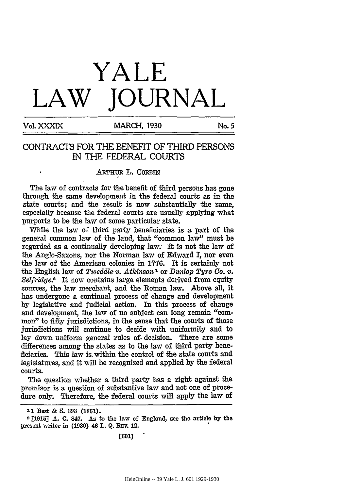

# CONTRACTS FOR THE BENEFIT OF THIRD PERSONS CONTRACTS FOR THE BENEFIT OF THIRD PERSONS IN THE FEDERAL COURTS IN THE FEDERAL COURTS

**Vol.** XXXIX MARCH, 1930 No. **5** Vol.XXXIX MARCH. 1930 No.5

## ARTHUR L. CORBIN

The law of contracts for the benefit of third persons has gone The law of contracts for the benefit of third persons has gone through the same development in the federal courts as in the state courts; and the result is now substantially the same, especially because the federal courts are usually applying what especially because the federal courts are usually applying what purports to be the law of some particular state.

While the law of third party beneficiaries is a part of the purports to be the law of some particular state.<br>While the law of third party beneficiaries is a part of the<br>general common law of the land, that "common law" must be regarded as a continually developing law. It is not the law of the Anglo-Saxons, nor the Norman law of Edward **I,** nor even the Anglo-Saxons, nor the Norman law of Edward I, nor even the law of the American colonies in **1776.** It is certainly not the law of the American colonies in 1776. It is certainly not the English law of *Tweddle v. Atkimon.* or *Dundop Tyre Co. v.* the English law of *T'weddle* 11. *Atkinson"1* or *Dunlop Tyre Co. 11.* Selfridge.<sup>2</sup> It now contains large elements derived from equity sources, the law merchant, and the Roman law. Above all, it sources, the law merchant, and the Roman law. Above all, it has undergone a continual process of change and development has undergone a continual process of change and development **by** legislative and judicial action. In this process of change by legislative and judicial action. In this process of change and development, the law of no subject can long remain "com-and development, the law of no subject can long remain "common" to fifty jurisdictions, in the sense that the courts of those mon" to fifty jurisdictions, in the sense that the courts of those jurisdictions will continue to decide with uniformity and to jurisdictions will continue to decide with uniformity and to<br>lay down uniform general rules of decision. There are some differences among the states as to the law **of** third party bene-differences among the states as to the law of third party beneficiaries. This law is. within the control of the state courts and ficiaries. This law is. within the control of the state courts and legislatures, and it will be recognized and applied **by** the federal legislatures, and it will be l'ecognized and applied by the federal courts. courts.

The question whether a third party has a right against the promisor is a question of substantive law and not one of procepromisor is a question of substantive law and not one of procedure only. Therefore, the federal courts will apply the law of dure only. Therefore, the federal courts will apply the law of

**<sup>-1</sup>** Best **& S. 393 (1861).** 11 Best & S. 393 (1861)•

**<sup>2</sup>[1915] A. C.** 847. As to the law of England, see the article **by** the <sup>2</sup> [1915] A. C. 847. As to the law of England, see the article by the present writer in **(1930)** 46 L. Q. REv. 12. present writer in (1930) 46 L. Q. REV. 12. •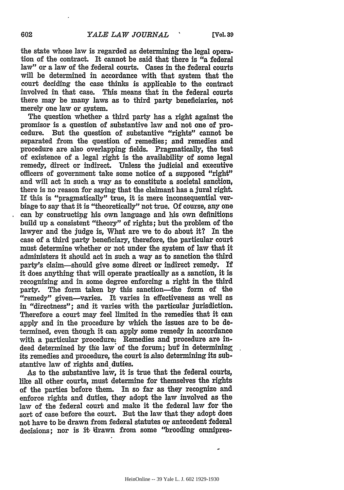$\emph{602}$   $\emph{YALE LAW JOURNAL}$  (Vol. 39)<br>the state whose law is regarded as determining the legal operation of the contract. It cannot be said that there is "a federal tion of the contract. It cannot be said that there is "a federal law" or a law of the federal courts. Cases in the federal courts law" or a law of the federal courts. Cases in the federal courts will be determined in accordance with that system that the court deciding the case thinks is applicable to the contract involved in that case. This means that in the federal courts involved in that case. This means that in the federal courts there may be many laws as to third party beneficiaries, not there may be many laws as to third party beneficiaries, not merely one law or system. merely one law or system.

The question whether a third party has a right against the promisor is a question of substantive law and not one of pro-promisor is a question of substantive law and not one of procedure. But the question of substantive "rights" cannot be cedure. But the question of substantive "rights" cannot be separated from the question of remedies; and remedies and separated from the question of remedies; and remedies and procedure are also overlapping fields. Pragmatically, the test of existence of a legal right is the availability of some legal of existence of a legal right is the availability of some legal remedy, direct or indirect. Unless the judicial and executive remedy, direct or indirect. Unless the judicial and executive officers of government take some notice of a supposed "right" officers of government take some notice of a supposed "right" and will act in such a way as to constitute a societal sanction, and will act in such a way as to constitute a societal sanction, there is no reason for saying that the claimant has a jural right. there is no reason for saying that the claimant has a jural right.<br>If this is "pragmatically" true, it is mere inconsequential verbiage to say that it is "theoretically" not true. **Of** course, any one biage to say that it is "theoretically" not true. Of course, anyone can by constructing his own language and his own definitions build up a consistent "theory" of rights; but the problem of the build up a consistent "theory" of rights; but the problem of the lawyer and the judge is, What are we to do about it? In the lawyer and the judge is, What are we to do about it? In the case of a third party beneficiary, therefore, the particular court case of a third party beneficiary, therefore, the particular court must determine whether or not under the system of law that it must determine whether or not under the system of law that it administers it should act in such a way as to sanction the third party's claim-should give some direct or indirect remedy. If party's claim-should give some direct or indirect remedy. If it does anything that will operate practically as a sanction, it is it does anything that will operate practically as a sanction, it is recognizing and in some degree enforcing a right in the third<br>party. The form taken by this sanction---the form of the party. The form taken **by** this sanction-the form of the "remedy" given--varies. It varies in effectiveness as well as in "directness"; and it varies with the particular jurisdiction. in "directness"; and it varies with the particular jurisdiction. Therefore a court may feel limited in the remedies that it can Therefore a court may feel limited in the remedies that it can apply and in the procedure **by** which the issues are to be de-apply and in the procedure by which the issues are to be de· termined, even though it can apply some remedy in accordance termined, even though it can apply some remedy in accordance with a particular procedure. Remedies and procedure are in-with a particular procedure: Remedies and procedure are indeed determined by the law of the forum; but in determining its remedies and procedure, the court is also determining its substantive law of rights and duties. stantive law of rights and duties.

As to the substantive law, it is true that the federal courts, As to the substantive law, it is true that the federal courts, like all other courts, must determine for themselves the rights of the parties before them. In so far as they recognize and of the parties before them. In so far as they recognize and enforce rights and duties, they adopt the law involved as the law of the federal court and make it the federal law for the sort of case before the court. But the law that they adopt does sort of case before the court. But the law that they adopt does not have to be drawn from federal statutes or antecedent federal not have to be drawn from federal statutes or antecedent federal<br>decisions; nor is it· *drawn from some "brooding omnipres*-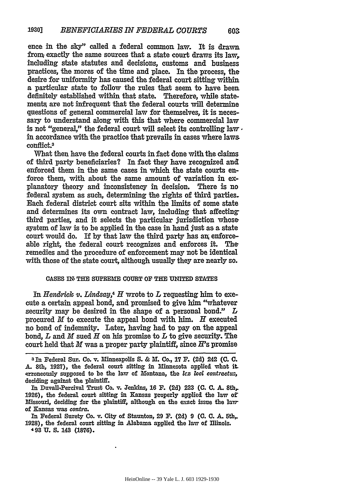ence in the sky" called a federal common law. It is drawn ence in the sky" called a federal common law. It is drawn from exactly the same sources that a state court draws its law, including state statutes and decisions, customs and business including state statutes and decisions, customs and business practices, the mores of the time and place. In the process, the desire for uniformity has caused the federal court sitting within desire for uniformity has caused the federal court sitting within a particular state to follow the rules that seem to have been a particular state to follow the rules that seem. to have been definitely established within that state. Therefore, while state-definitely established within that state. Therefore, while statements are not infrequent that the federal courts will determine questions of general commercial law for themselves, it is neces-questions of general commercial law for themselves, it is necessary to understand along with this that where commercial law is not "general," the federal court will select its controlling law  $\cdot$ in accordance with the practice that prevails in cases where laws in accordance with the practice that prevails in cases where laws. conflict.<sup>3</sup> conflict.3

What then have the federal courts in fact done with the claims of third party beneficiaries? In fact they have recognized and of third party beneficiaries? In fact they have recognized and enforced them in the same cases in which the state courts enforce them, with about the same amount of variation in ex-force them, with about the same amount of variation in explanatory theory and inconsistency in decision. There is no planatory theory and inconsistency in decision. There is no federal system as such, determining the rights of third parties-federal system as such, determining the rights of third parties. Each federal district court sits within the limits of some state Each federal district court sits within the limits of some state and determines its own contract law, including that affecting-and determines its own contract law, including that affectingthird parties, and it selects the particular jurisdiction whose system of law is to be applied in the case in hand just as a state system of law is to be applied in the case in hand just as a state court would do. If **by** that law the third party has an enforce-court would do. If by that law the third party has an; enforceable right, the federal court recognizes and enforces it. The able right, the federal court recognizes and enforces it. The remedies and the procedure of enforcement may not be identical with those of the state court, although usually they are nearly so.

#### **CASES IN,** THE **SUPREME COURT** OF THE UNITED STATES CASES IN. THE SUPREME COURT OF THE UNITED STATES

In  $H$ endrick v. *Lindsay*,<sup>2</sup>  $H$  wrote to  $L$  requesting him to execute a certain appeal bond, and promised to give him " vhatever cute a certain appeal bond, and promised to give him "whatever security may be desired in the shape of a personal bond." *L* security may be desired in the shape of a personal bond." Lprocured *M* to execute the appeal bond with him. *H* executed no bond of indemnity. Later, having had to pay on the appeal no bond of indemnity. Later, having had to pay on the appeal bond, *L* and *M* sued *H* on his promise to *L* to give security. The bond,  $L$  and  $M$  sued  $H$  on his promise to  $L$  to give security. The court held that  $M$  was a proper party plaintiff, since  $H$ 's promise

In Federal Surety Co. v. City of Staunton, **29 F. (2d) 9 (C. C.** A. 5th,. In Federal Surety Co. v. City of Staunton, 29 F. (2d) 9 (C. C. A. 5th,. 1928), the federal court sitting in Alabama applied the law of Illinois.

**93 U. S.** 143 (1876). ~93 U. S. 143 (18'16).

**<sup>3</sup>In** Federal Sur. Co. v. Minneapolis **S.** & M. Co., **17** F. **(2d)** 242 **(C. C.** <sup>3</sup> In Federal Sur. Co. v. Minneapolis S. & M. Co., 1'1 F. (2d) 242 (C. C. A. 8th, 1927), the federal court sitting in Minnesota applied what it. erroneously supposed to be the law of Montana, the *lcx loci contractus*, deciding against the plaintiff. deciding against the plaintiff.

In Duvall-Percival Trust Co. v. Jenkins, 16 F. (2d) 223 (C. C. A. 8th, **1926),** the federal court sitting in Kansas properly applied the law or 1926), the federal court sitting in Kansas properly applied the law of" Missouri, deciding for the plaintiff, although on the exact issue the lawof Kansas was *contra.* of Kansas was *cont7a.*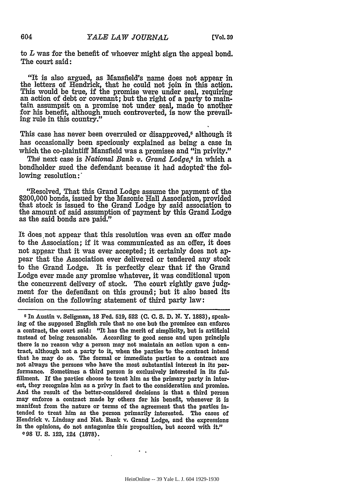to *L* was for the benefit of whoever might sign the appeal bond.<br>The court said: The court said:

"It is also argued, as Mansfield's name does not appear in the letters of Hendrick, that he could not join in this action. "It is also argued, as Mansfield's name does not appear inthe letters of Hendrick, that he could not join in this action. This would be true, if the promise were under seal, requiring This would be true, if the promise were under seal, requiring an action of debt or covenant; but the right of a party to main-an action of debt 01' covenant; but the right of a party to maintain assumpsit on a promise not under seal, made to another tain assumpsit on a promise not under seal, made to another for his benefit, although much controverted, is now the prevail- ing rule in this country." for his benefit, although much controverted, is now the prevail- ing rule in this country."

This case has never been overruled or disapproved, $\mathfrak s$  although it has occasionally been speciously explained as being a case in has occasionally been speciously explained as being a case in which the co-plaintiff Mansfield was a promisee and "in privity." which the co-plaintiff Mansfield was a promisee and "in privity."

The next case is *National Bank v. Grand Lodge*,<sup>6</sup> in which a The next case is National Bank v. Grand Lodge,<sup>c</sup> in which a bondholder sued the defendant because it had adopted the following resolution:' lowing resolution:'

"Resolved, That this Grand Lodge assume the payment of the "Resolved, That this Grand Lodge assume the payment of the \$200,000 bonds, issued by the Masonic Hall Association, provided the amount of said assumption of payment **by** this Grand Lodge as the said bonds are paid." that stock is issued to the Grand Lodge by said association to

It does not appear that this resolution was even an offer made to the Association; if it was communicated as an offer, it does to the Association; if it was communicated as an offer, it does not appear that it was ever accepted; it certainly does not appear that the Association ever delivered or tendered any stock to the Grand Lodge. It is perfectly clear that if the Grand to the Grand Lodge. It is perfectly clear that if the Grand Lodge ever made any promise whatever, it was conditional upon Lodge ever made any promise Whatever, it was conditional upon the concurrent delivery of stock. The court rightly gave judg-the concurrent delivery of stock. The court rightly gave judgment for the defendant on this ground; but it also based its ment for the defenaant on this ground; but it also based its decision on the following statement of third party law: decision on the following statement of third party law:

**5In** Austin v. Seligman, **18** Fed. **519,** 522 **(C. C. S.** D. N. Y. 1883), speak-<sup>5</sup> In Austin v. Seligman, 18 Fed. 519,522 (C. C. S. D. N. Y. 1883), speaking of the supposed English rule that no one bub the promisee can enforce ing of the supposed English rule that no one bub the promisee can enforcc, a contract, the court said: "It has the merit of simplicity, but is artificial instead of being reasonable. According to good sense and upon principlo tnstead of being reasonable. According to good sense and upon principle there is no reason why a person may not maintain an action upon a con- tract, although not a party to it, when the parties to the .contract intend tract, although not a party to it, when the parties roo the .contract intend that he may do so. The formal or immediate parties to a contract are not always the persons who have the most substantial interest in its performance. Sometimes a third person is exclusively interested in its ful-formance. Sometimes a third person is exclusively interested in its fulfilhnent. If the parties choose to treat him as the primary party in inter-fillment. If the parties choose to treat him as the primary party in interest, they recognize him as a privy in fact to the consideration and promise. est, they recognize him as a privy in fact to the consideration and promise. And the result of the better-considered decisions is that a third person And the result of the better-considered decisions is that a third person may enforce a contract made **by** others for his benefit, whenever it is may enforce a contract made by others for his benefit, whenever it is manifest from the nature or terms of the agreement that the parties in-manifest from the nature or terms of the agreement that the parties intended to treat him as the person primarily interested. The cases of tended to treat him as the person primarily interested. The cases of Hendrick v. Lindsay and Nat. Bank v. Grand Lodge, and the expressions Hendrick v. Lindsay and Nat. Bank v. Grand Lodge, and the expressions in the opinions, do not antagonize this proposition, but accord with it." in the opinions, do not antagonize this proposition, but accord with it!' there is no reason why a person may not maintain an action upon a connot always the persons who have the most substantial interest in its per-

**"98 U. S. 123,** 124 **(1878).** 698 U. S. 123, 124 (1878).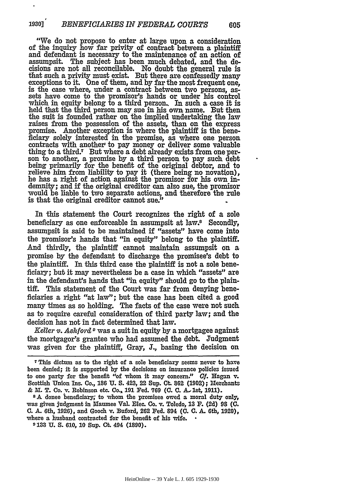"We do not propose to enter at large upon a consideration "We do not propose to enter at large upon a consideration of the inquiry how far privity of contract between a plaintiff and defendant is necessary to the maintenance of an action of and defendant is necessary to the maintenance of an action of assumpsit. The subject has been much debated, and the de-assumpsit. The subject has been much debated, and the decisions are not all reconcilable. No doubt the general rule is that such a privity must exist. But there are confessedly many exceptions to it. One of them, and **by** far the most frequent one, is the case where, under a contract between two persons, as-is the case where, under a contract between two persons, assets have come to the promisor's hands or under his control sets have come to the promisor's hands or under his control which in equity belong to a third person.. In such a case it is which in equity belong to a third person.. In such a case it is held that the third person may sue in his own name. But then held that the third person may sue in his own name. But then the suit is founded rather on the implied undertaking the law the suit is founded rather on the implied undertaking the law<br>raises from the possession of the assets, than on the express<br>promise. Another exception is where the plaintiff is the beneficiary solely interested in the promise, as where one person ficiary solely interested in the promise, as where one person contracts with another to pay money or deliver some valuable thing to a third.' But where a debt already exists from one person to another, a promise **by** a third person to pay such debt son to another, a promise by a third person to pay such debt being primarily for the benefit of the original debtor, and to being primarily for the benefit of the original debtor, and to relieve him from liability to pay it (there being no novation), he has a right of action against the promisor for his own indemnity; and if the original creditor can also sue, the promisor<br>would be liable to two separate actions, and therefore the rule is that the original creditor cannot sue." is that the original creditor cannot sue." of the inquiry how far privity of contract between a plaintiff cisions are not all reconcilable. No doubt the general rule that such <sup>a</sup> privity must exist. But there are confessedly many exceptions to it. One of them, and by far the most frequent one, relieve him from liability to pay it (there being no novation), he has a right of action against the promisor for his own in-

In this statement the Court recognizes the right of a sole In this statement the Court recognizes the right of a sole beneficiary as one enforceable in assumpsit at law.<sup>8</sup> Secondly, assumpsit is said to be maintained if "assets" have come into assumpsit is said to be maintained if "assets" have come into the promisor's hands that "in equity" belong to the plaintiff. the promisor's hands that "in equity" belong to the plaintiff. And thirdly, the plaintiff cannot maintain assumpsit on a And thirdly, the plaintiff cannot maintain assumpsit on a promise **by** the defendant to discharge the promisee's debt to promise by the defendant to discharge the promisee's debt to the plaintiff. In this third case the plaintiff is not a sole bene-the plaintiff. In this third case the plaintiff is not a sole beneficiary; but it may nevertheless be a case in which "assets" are ficiary; but it may nevertheless be a case in which "assets" are in the defendant's hands that "in equity" should go to the plain-in the defendant's hands that "in equity" should go to the plaintiff. This statement of the Court was far from denying beneficiaries a right "at law"; but the case has been cited a good ficiaries a right "at law"; but the case has been cited a good many times as so holding. The facts of the case were not such many times as so holding. The facts of the case were not such as to require careful consideration of third party law; and the decision has not in fact determined that law. decision has not in fact determined that law.

*Keller v. Ashford*  $^{\textit{D}}$  was a suit in equity by a mortgagee against the mortgagor's grantee who had assumed the debt. Judgment the mortgagor's grantee who had assumed the debt. Judgment was given for the plaintiff, Gray, **J.,** basing the decision on was given for the plaintiff, Gray, J., basing the decision on

s A donee beneficiary; to whom the promisee owed a moral duty only, was given judgment in **Maumee** Val. Elec. Co. v. Toledo, **13** F. **(2d)** 98 **(C.** was given judgment in Maumee Val. Elec. Co. v. Toledo, 13 F. (2d) 98 (C. **C. A.** 6th, **1926),** and Gooch v. Buford, **262** Fed. **894 (C. C. A.** 6th, **1920),** C. A. 6th, 1926), and Gooch v. Buford, 262 Fed. 894 (C. C. A. 6th, 1920), where a husband contracted for the benefit of his wife.  $\cdot$ 

**9 133 U. S. 610, 10 Sup. Ct. 494 (1890).** 

<sup>&</sup>lt;sup>7</sup> This dictum as to the right of a sole beneficiary seems never to have been denied; it is supported **by** the decisions on insurance policies issued been denied; it is supported by the decisions on insurance policies issued to one party for the benefit "of whom it may concern." Cf. Hagan v. Scottish Union Ins. Co., **186 U. S.** 423, 22 Sup. Ct. **862 (1902);** Merchants Scottish Union Ins. Co., 186 U. S. 423, 22 Sup. Ct. 862 (1902); Merchants & M. T. Co. v. Robinson etc. Co., 191 Fed. 769 (C. C. A. 1st, 1911).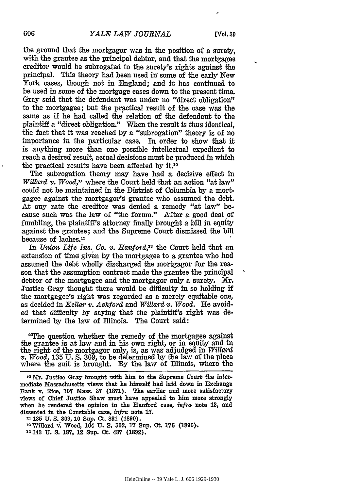..

the ground that the mortgagor was in the position of a surety, the ground that the mortgagor was in the position of a surety,<br>with the grantee as the principal debtor, and that the mortgagee creditor would be subrogated to the surety's rights against the creditor would be subrogated to the surety's rights against the principal. This theory had been used in some of the early New York cases, though not in England; and it has continued to York cases, though not in England; and it has continued to be used in some of the mortgage cases down to the present time. be used in some of the mortgage cases down to the present time. Gray said that the defendant was under no "direct obligation" Gray said that the defendant was under no "direct obligation" to the mortgagee; but the practical result of the case was the to the mortgagee; but the practical result of the case was the same as if he had called the relation of the defendant to the plaintiff a "direct obligation." When the result is thus identical, plaintiff a "direct obligation." When the result is thus identical, the fact that it was reached by a "subrogation" theory is of no importance in the particular case. In order to show that it is anything more than one possible intellectual expedient to is anything more than one possible intellectual expedient to reach a desired result, actual decisions must be produced in which reach a desired result, actual decisions must be produced in which the practical results have been affected by it.<sup>10</sup>

The subrogation theory may have had a decisive effect in The subrogation theory may have had a decisive effect in *Willard v. Wood,*<sup>11</sup> where the Court held that an action "at law" could not be maintained in the District of Columbia by a mort-could not be maintained in the District of Columbia. by a mortgagee against the mortgagor's grantee who assumed the debt. gagee against the mortgagor's grantee who assumed the debt. At any rate the creditor was denied a remedy "at law" because such was the law of "the forum." After a good deal of fumbling, the plaintiff's attorney finally brought a bill in equity fumbling, the plaintiff's attorney finally brought a bill in equity against the grantee; and the Supreme Court dismissed the bill against the grantee; and the Supreme Court dismissed the bill  $because of lacks.<sup>12</sup>$ 

In *Union Life Ins. Co. v. Hanford*,<sup>13</sup> the Court held that an extension of time given by the mortgagee to a grantee who had extension of time given by the mortgagee to a grantee who had assumed the debt wholly discharged the mortgagor for the reason that the assumption contract made the grantee the principal son that the assumption contract made the grantee the principal debtor of the mortgagee and the mortgagor only a surety. Mr. debtor of the mortgagee and the mortgagor only a surety. Mr. Justice Gray thought there would be difficulty in so holding if Justice Gray thought there would be difficulty in so holding if<br>the mortgagee's right was regarded as a merely equitable one, as decided in *Keller v. Ashford* and Willrd *v. Wood.* He avoid-as decided in *Keller* 11. *Ashford* and *Willard* 11. *Wood.* He avoid~ ed that difficulty by saying that the plaintiff's right was determined by the law of Illinois. The Court said: termined by the law of TIlinois. The Court said:

"The question whether the remedy of.the mortgagee against "The question whether the remedy of.the mortgagee against the grantee is at law and in his own right, or in equity and in the grantee is at law and in his own right, or in equity and in the right of the mortgagor only, is, as was adjudged in *Willard* the right of the mortgagor only, is, as was adjudged in Willard *v. Wood,* 135 U.S. 309, to be determined by the law of the place where the suit is brought. By the law of Illinois, where the where the suit is brought. **By** the law of Illinois, where the

**-** Mr. Justice Gray brought with him to the Supreme Court the inter-10 Mr. Justice Gray brought with him to the Supreme Court; the intermediate Massachusetts views that he himself had laid down in Exchange mediate Massachusetts views that he himself had laid down in Exchange Bank v. Rice, **107** Mass. **37 (1871).** The earlier and more satisfactory Bank v. Rice, 107 Mass. 37 (1871). The earlier and more satisfactory views of Chief Justice Shaw must have appealed to him more strongly views of Chief Justice Shaw must have appealed to him more strongly when he rendered the opinion in the Hanford case, *infrc* note **13,** and when he rendered the opinion in the Hanford case, infra note 13, and dissented in the Constable case, *inf a* note **17.** dissented in the Constable case, infra note 1'1.

n 135 U. S. 309, 10 Sup. Ct. 831 (1890).

- **135 U. S. 309, 10** Sup. Ct. **831 (1890).** l1Willard **.**Wood, 164 **U. S. 502, 17** Sup. Ct. **176 (1896):** 12Willard v. Wood, 164 U. S. 502, 1'1 Sup. Ct. 1'16 (1896)·.
- 33143 **U. S. 187,** 12 Sup. Ct. 437 **(1892).** <sup>13</sup> 143 U. S. 187, 12 Sup. Ct. 437 (1892)•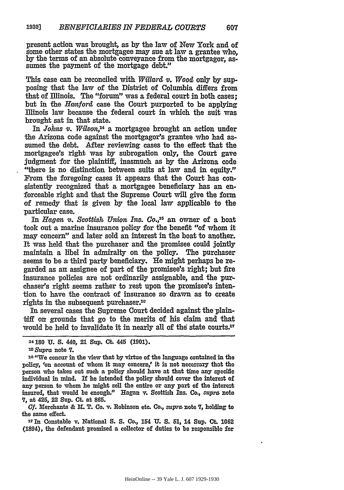present action was brought, as **by** the law of New York and of present action was brought, as by the law of New York and of gome other states the mortgagee may sue at law a grantee who, **by** the terms of an absolute conveyance from the mortgagor, assumes the payment of the mortgage debt." Some other states the mortgagee may sue at law a grantee who, by the terms of an absolute-conveyance from the mortgagor, assumes the payment of the mortgage debt."

This case can be reconciled with Willard *v. Wood* only **by** sup-This case can be reconciled with *Willa1'll* 'P. *Wooel* only by supposing that the law of the District of Columbia differs from posing that the law of the District of Columbia differs from that of Illinois. The "forum" was a federal court in both cases; but in the *Hanford* case the Court purported to be applying Illinois law because the federal court in which the suit was llIinois law because the federal court in which the suit was brought sat in that state.

brought sat in that state.<br>In *Johns v. Wilson*,<sup>14</sup> a mortgagee brought an action under the Arizona code against the mortgagor's grantee who had as-the Arizona code against the mortgagor's grantee who had assumed the debt. After reviewing cases to the effect that the mortgagee's right was **by** subrogation only, the Court gave mortgagee's right was by subrogation only, the Court gave judgment for the plaintiff, inasmuch as **by** the Arizona code judgment for the plaintiff, inasmuch as by the Arizona code "there is no distinction between suits at law and in equity."<br>From the foregoing cases it appears that the Court has con-From the foregoing cases it appears that the Court has consistently recognized that a mortgagee beneficiary has an en-sistently recognized that a mortgagee beneficiary has an enforceable right and that the Supreme Court will give the form forceable right and that the Supreme Court will give the form of remedy that is given by the local law applicable to the particular case. particular case.

In *Hagen* v. Scottish Union *Ins.* Co.,<sup>15</sup> an owner of a boat took out a marine insurance policy for the benefit "of whom it may concern" and later sold an interest in the boat to another. may concern" and later sold an interest in the boat to another. It was held that the purchaser and the promisee could jointly maintain a libel in admiralty on the policy. The purchaser maintain a libel in admiralty on the policy. The purchaser seems to be a third party beneficiary. He might perhaps be regarded as an assignee of part of the promisee's right; but fire garded as an assignee of part of the promisee's right; but fire insurance policies are not ordinarily assignable, and the purchaser's right seems rather to rest upon the promisee's inten-chaser's right seems rather to rest upon the promisee's intention to have the contract of insurance so drawn as to create tion to have the contract of insurance so drawn as to create rights in the subsequent purchaser.<sup>10</sup>

In several cases the Supreme Court decided against the plain-In several cases the Supreme Court decided against the plaintiff on grounds that go to the merits of his claim and that would be held to invalidate it in nearly all of the state courts.<sup>17</sup>

Cf. Merchants & M. T. Co. v. Robinson etc. Co., *supra* note 7, holding to the same effect. the same effect.

e same enect.<br><sup>17</sup> In Constable v. National S. S. Co., 154 U. S. 51, 14 Sup. Ct. 1062 (1894), the defendant promised a collector of duties to be responsible for

<sup>14 180</sup> U. S. 440, 21 Sup. Ct. 445 (1901).

 $15$ *Supra* note 7.

<sup>&</sup>lt;sup>10</sup> "We concur in the view that by virtue of the language contained in the policy, 'on account of whom it may concern,' it is not necessary that the policy, 'on account of whom it may concern,' it is not necessary that the person who takes out such a policy should have at that time any specific individual in mind. If he intended the policy should cover the interest of individual in mind. If he intended the policy should cover the interest of any person to whom he might sell the entire or any part of the interest insured, that would be enough." Hagan v. Scottish Ins. Co., supra note 11, at 425, 22 Sup. Ct. at **865.** *'T,* at 425~ 22 Sup. Ct. at 865.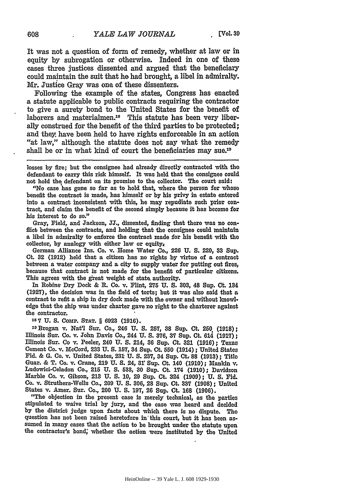It was not a question of form of remedy, whether at law or in equity **by** subrogation or otherwise. Indeed in one of these equity by subrogation or otherwise. Indeed in one of these cases three justices dissented and argued that the beneficiary cases three justices dissented and argued that the beneficiary could maintain the suit that he had brought, a libel in admiralty. could maintain the suit that he had brought, a libel in admiralty. **Mr.** Justice Gray was one of these dissenters. Mr. Justice Gray was one of these dissenters.

Following the example of the states, Congress has enacted Following the example of the states, Congress has enacted a statute applicable to public contracts requiring the contractor a statute applicable to public contracts requiring the contractor to give a surety bond to the United States for the benefit of laborers and materialmen.<sup>18</sup> This statute has been very liberally construed for the benefit of the third parties to be protected; ally construed for the benefit of the third partiesto be protected; and they. have been held to have rights enforceable in an action and they; have been held to have rights enforceable in an action "at law," although the statute does not say what the remedy shall be or in what kind of court the beneficiaries may sue.<sup>10</sup>

losses by fire; but the consignee had already directly contracted with the defendant to carry this risk himself. It was held that the consignee could not hold the defendant on its promise to the collector. The court said: not hold **the** defendant on its promise to the collector. The court said:

"No case has gone so far as to hold that, where the person for whose benefit the contract is made, has himself or **by** his privy in estate entered benefit the contract is made, has himself or by his privy in estate entered into a contract inconsistent with this, he may repudiate such prior con-into a contract inconsistent with this, he may repudiate such prior con· tract, and claim the benefit of the second simply because it has become for tract, and claim the benefit of the second simply because it has become for his interest to do so." his interest to do so."

Gray, Field, and Jackson, **JJ.,** dissented, finding that there was no con-Gray, Field, and Jackson, JJ., dissented, finding that thero was no con· flict between the contracts, and holding that the consignee could maintain fiict between the contracts, and holding that the consignee could maintain a libel in admiralty to enforce the contract made for his benefit with the a libel in admiralty to enforce the contract made for his benefit with tho collector, by analogy with either law or equity.

German Alliance Ins. Co. v. Home Water Co., 226 **U. S.** 220, **33** Sup. German Alliance Ins. Co. v. Home Water Co., 226 U. S. 220, 33 Sup. Ct. **32 (1912)** held that a citizen has no rights **by** virtue of a contract Ct. 32 (1912) held that a citizen has no rights by virtue of a contract between a water company and a city to supply water for putting out fires, between a water company and a city to supply water for putting out fires,<br>because that contract is not made for the benefit of particular citizens. This agrees with the great weight of stata authority.

This agrees with the great weight of state authority.<br>In Robins Dry Dock & R. Co. v. Flint, 275 U. S. 303, 48 Sup. Ct. 134 **(1927),** the decision was in the field of torts; but it was also said that a (1927), the decision was in the field of torts; but it was also said that a contract to refit a ship in dry dock made with the owner and without knowledge that the ship was under charter gave no right to the charterer against edge that the ship was under charter gave no right to the charterer against the contractor. the contractor.

18 **7 U. S. COMP. STAT.** § 6923 (1916).

**19Brogan** v. Nat'l Sur. Co., 246 **U. S.** 257, 38 Sup. Ct. **250 (1918);** 19 Brogan v. Nat'} Sur. Co., 246 U. S. 257, 38 Sup. Ct. 250 (1018); Illinois Sur. Co. v. John Davis Co., 244 **U. S. 376, 37** Sup. Ct. 614 **(1917) ;** Illinois Sur. CO. V. John Davis Co.,244 U. S. 376, 37 Sup. Ct. 614 (1917); Illinois Sur. Co v. Peeler, 240 **U. S.** 214, **36** Sup. Ct. **321 (1916);** Texas Illinois Sur. CO V. Peeler, 240 U. S. 214, 36 Sup. Ct. 321 (1016); Texas Cement Co. v. McCord, **233 U. S. 157,** 34 Sup. **Ct. 550** (1914) **;** United States Cement Co. v. McCord, 233 U. S. 157, 34 Sup. Ct. 550 (1914); United States **Fid. & G.** Co. v. United States, **231 U. S. 237,** 34 Sup. Ct, 88 **(1913)** ; Title Fid. & G. Co. V. United States, 231 U. S. 237, 34 Sup. Ct. 88 (1913); Titlo Guar. & T. Co. v. Crane, 219 U. S. 24, 31 Sup. Ct. 140 (1910); Mankin v.<br>Ludowici-Celadon Co., 215 U. S. 533, 30 Sup. Ct. 174 (1910); Davidson Ludowici-Celadon Co., **215 U. S. 533, 30** Sup. Ct. **174 (1910);** Davidson Marble Co. **v.** Gibson, 213 **U. S. 10, 29** Sup. Ct. 324 **(1909); U. S.** Fid. Marble CO. V. Gibson, 213 U. S. 10, 29 Sup. Ct. 324 (1900); U. S. Fid. Co. v. Struthers-Wells Co., **209 U. S. 306, 28** Sup. Ct. **337 (1908);** United Co. v. Struthers-Wells Co., 209 U. S. 306, 28 Sup. Ct. 387 (1908); United States v. Amer. Sur. Co., 200 **U. S. 197, 26** Sup. Ct. **168** (1906). States V. Amer. Sur. Co., 200 U. S. 197, 26 Sup. Ct. 168 (1906).

"The objection in the present case is merely technical, as the parties "The objection in the present case is merely technical, as tho parties stipulated to waive trial **by** jury, and the case was heard and decided stipulated to waive trial by jury, and the case was heard and decided **by** the district judge upon facts about which there is no dispute. The by the district judge upon facts about which there is no dispute. Tho question has not been raised heretofore in'this court, but it has been as-question has not been raised heretofore in' this court, but it has been as. sumed in many cases that the action to be brought under the statute upon sumed in many cases that the action to be brought under the statute upon the contractor's bond; whether the action were instituted **by** the United the contractor's bond; whether the action were instituted by the United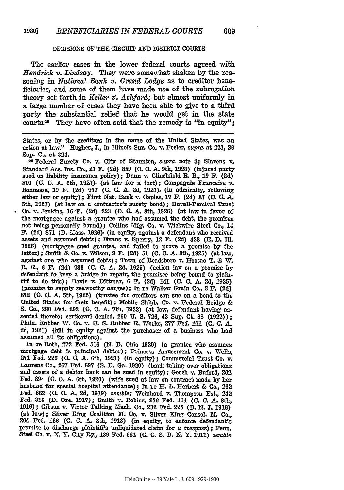#### DECISIONS **OF** THE CIRCUIT **AND** DISTRICT **COURTS** DECISIONS OF THE CmCUlT AND DISTRICT COURTS

609

The earlier cases in the lower federal courts agreed with The earlier cases in the lower federal courts agreed with *H d ric v. Lindsay.* They were somewhat shaken **by** the rea-*Hend/rick* 'V. *Lindsay.* They were somewhat shaken by the reasoning in *National Bank v. Grand Lodge* as to creditor beneficiaries, and some of them have made **use** of the subrogation ficiaries, and some of them have made use. of the subrogation theory set forth in *Keller v*. Ashford; but almost uniformly in a Iarge number of cases they have been able to give to a third party the substantial relief that he would get in the state courts.<sup>20</sup> They have often said that the remedy is "in equity": a large number of cases they have been able to give to a third<br>party the substantial relief that he would get in the state<br>courts.<sup>20</sup> They have often said that the remedy is "in equity";

States, or by the creditors in the name of the United States, was an action at law." Hughes, J., in Illinois Sur. Co. v. Peeler, *supra* at 223, 36 Sup. Ct. at 324. action at law." Hughes. *3.,* in Illinois Sur. Co. v. Peeler, *supra* at **223, 36** Sup. Ct. at 324.

<sup>20</sup> Federal Surety Co. v. City of Staunton, *supra* note 3; Slavens v. Standard **Ace.** Ins. Co., **27** F. **(2d) 859 (C. C. A.** 9th, **1928)** (injured party sued on liability insurance policy); Dunn v. Clinchfield R. **B., 19** F. **(2d) 810 (C. C. A.** 6th, **1927).** (at law for a tort); Compagnie Francaise v. 810 (C. C. A. 6th, 1927} (at law for a. tort) <sup>j</sup> Compagnie Francnise v. Bonnasse, 19 F. (2d) 777 (C. C. A. 2d, 1927). (in admiralty, following either law or equity).; First Nat. Bank v. Caples, 17 F. (2d) 87 (C. C. A. 5th, **1927)** (at law **on** a contractor's surety bond); Duvall-Percival Trust 5th, 1927) (at law on a. contractor's surety bond) <sup>j</sup> Duvall-Percival Trust Co. v. Jenkins, **16 -F. (2d) 223 (C. C. A.** 8th, **1926)** (at law in favor of • Co. v. Jenkins, 16·F. (2d) 223 (C. C. A. 8th, 1926) (at law in favor of the mortgagee against a grantee who had assumed the debt, the promisee the mortgagee against a grantee who had assumed the debt, the promisee not being personally bound); Collins **Mfg.** Co. v. Wickvire Steel Co., 14 not being personally bound); Collins Mfg. Co. v. Wickwire Steel Co., 14<br>F. (2d) 871 (D. Mass. 1926) (in equity, against a defendant who received assets and assumed debts); Evans v. Sperry, 12 **F. (2d)** 438 **(E. D. Ill.** assets and assumed debts) <sup>j</sup> Evans v. Sperry, 12 F. (2d) 438 (E. D. m. **1926)** (mortgagee sued grantee, and failed to prove a promise **by** the 1926) (mortgagee sued grantee, and failed to prove a promise by the latter); Smith & Co. v. Wilson, **9** F. **(2d) 51 (C. C. A.** 8th, **1925)** (at law, latter); Smith & Co. v. Wilson, 9 F. (2d) 51 (C. C. A. 8th, 1925) (at law, against one who assumed debts); Town of Readsboro v. Hoosac T. & W. against one who assumed debts); Town of Readsboro v. Hoosac T. & W. R. R., 6 F. (2d) 733 (C. C. A. 2d, 1925) (action lay on a promise by<br>defendant to keep a bridge in repair, the promisee being bound to plaintiff to do this); Davis v. Dittmar, **6 F. (2d)** 141 **(C. C. A. 2d, 1925)** tiff to do this); Davis v. Dittmar, 6 F. (2d) 141 (C. C. A. 2d, 1925) (promise to supply seaworthy barges); In re Walker Grain Co., **3** F. **(2d)** (promise to supply seaworthy barges) ; In re Walker Grain Co., 3 F. (2d) **872 (C. C. A.** 5th, **1925)** (trustee for creditors can sue on a bond to the 872 (C. C. A. 5th, 1925) (trustee for creditors can sue on a. bond to the United States for their benefit); Mobile **Shipb. Co.** v. Federal Bridge **&** United States for their benefit) <sup>j</sup> Mobile Shipb. Co. v. Federal 13ridge & **S.** Co., **280** Fed. **292 (C. C. A.** 7th, **1922)** (at law, defendant having as-S. Co., 280 Fed. 292 (C. C. A. 7th, 1922) (at law, defendant having' assented thereto; certiorari denied, **260 U. S. 726,** 43 Sup. **Ct. 88 (1922));** sented thereto; certiorari denied, 260 U. S. 726, 43 Sup. Ct. 88 (1922»; Phila. Rubber W. Co. v. **U. S.** Rubber R. Works, *27T* Fed. 171 **(C. C.** *A.* Phila. Rubber W. Co. v. U. S. Rubber R. Works, 277' Fed. 171 (C. C. A. **2d, 1921)** (bill in equity against the purchaser of a business who had 2d, 1921) (bill in equity against the purchaser of n business who had assumed all its obligations). assumed aIr its obligations). <sup>20</sup> Federal Surety Co. v. City of Staunton, supra note 3; Slavens v. Standard Acc. Ins. Co., 27 F. (2d) 859 (C. C. A. 9th, 1928) (injured party sued on liability insurance policy); Dunn v. Clinchfield R. R., 19 F. (2d) either law or equity);; First Nat. Bank v. Caples, 17 F. (2d) 87 (C. C. A. defendant to keep a bridge in repair, the promisee being bound to plain-

In re Roth, **272** Fed. **516 (N.** D. Ohio **1920)** (a grantee vho assumes In re Roth, 272 Fed. 516 (N. D. Ohio 1920) (n grantee who assumes mortgage debt is principal debtor); Princess Amusement **Co.** v. Wells, mortgage debt is principal debtor); Princess Amusement Co. v. Wells, **271** Fed. **226 (C. C. A.** 6th, **1921)** (in equity); Commercial Trust Co. v. 271 Fed. 226 (C. C. A. 6th, 1921) (in equity); Commercial Trust Co. v. Laurens Co., **267** Fed. **897 (S. D.** Ga. **1920)** (bank taking over obligations Laurens Co., 267 Fed. 897 (S. D. Ga. 1920) (bank taking over obligations and assets of a debtor bank can be sued in equity); Gooch v. Buford, 262 Fed. 894 **(C. C. A.** 6th, **1920)** (wife sued at law on contraeb made **by** her Fed. 894 (C. C. A. 6th, 1920) (wife sued at law on contracb made by her husband for special hospital attendance); In re H. L. Herbert & Co., 262 Fed. **682 (C. C. A, 2d, 1919)** *sernble;* Weinhard v. Thompson Est, 242 Fed. 682 (C. C. A. 2d, 1919) *semble;* Weinhard v. Thompson Est., 242 Fed. **315 (D.** Ore. **1917);** Smith v. Robins, **236** Fed. 114 **(C. C. A.** 8th, Fed. 315 (D. Ore. 191'1); Smith v. Robins, 236 Fed. 114 (C. C. A. 8th, 1916); Gibson v. Victor Talking Mach. Co., 232 Fed. 225 (D. N. J. 1916)<br>(at law); Silver King Coalition M. Co. v. Silver King Consol. M. Co. 204 Fed. **166 (C. C. A.** 8th, **1913)** (in equity, to enforce defendants 204 Fed. 166 (C. C. A. 8th, 1913) (in equity, to enforce defendant!a promise to discharge plaintiff's unliquidated claim for a trespass); Penn. promise to discharge plaintiff's unliquidated claim for n trespass) ; Penn. Steel Co. v. N. Y. City **Ry, 189** Fed. **66. (C. C. S. D.** N. Y. **1911)** *somblo* Steel Co. v. N. Y. City Ry., 189 Fed. 661 (C. C. S. D. N. Y. 1911) *cembla*(at law); Silver King Coalition M. Co. v. Silver King Consol. M. Co.,

HeinOnline -- 39 Yale L. J. 609 1929-1930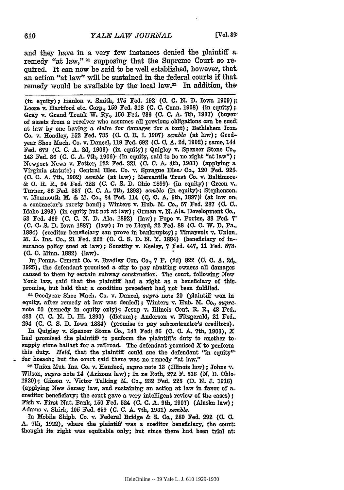610 *YALE LAW JOURNAL* [Vol.3D]<br>and they have in a very few instances denied the plaintiff a. remedy "at law," <sup>21</sup> supposing that the Supreme Court so required. It can now be said to be well established, however, that quired. It can now be said to be well established, however, that an action "at law" will be sustained in the federal courts if that. an action "at law" will be sustained in the federal courts if that. remedy would be available by the local law.<sup>22</sup> In addition, the

(in equity); Hanlon v. Smith, 175 Fed. 192 (G. C. N. D. Iowa 1909); Loose v. Hartford etc. Corp., **159** Fed. **318 (C. C.** Conn. 1908) (in equity);. Loose v. Hartford etc. Oorp., 159 Fed. 318 (0. O. Conn. 1908) (in equity);. Gray v. Grand Trunk W. Ry., **156** Fed. **'736 (C. C. A.** 7th, **1907)** (buyer Gray v. Grand Trunk W. Ry., 156 Fed. 736 (0. O. A. 7th, 1907) (buyerof assets from a receiver who assumes all previous obligations can be sued; of assets from a receiver who assumes all previous obligations can be sued: at law by one having a claim for damages for a tort); Bethlehem Iron.<br>Co. v. Hoadley, 152 Fed. 735 (C. C. R. I. 1907) semble (at law); Good-Co. v. Hoadley, **152** Fed. **735 (C. C.** R. **I. 1907)** *semblo* (at law); Goodyear Shoe Mach. Co. v. Dancel, **119** Fed. **692 (C. C. A. 2d, 1902);** same, 144 year Shoe Mach. Co. v. Dancel, 119 Fed. 692 (C. C. A. 2d, 1902) ; same, 144 Fed. 679 (C. C. A. 2d, 1906) (in equity); Quigley v. Spencer Stone Co., 143 Fed. 86 (C. C. A. 7th, 1906)<sup>.</sup> (in equity, said to be no right "at law"); Newport News v. Potter, 122 Fed. 321 **(C. C. A.** 4th, **1903)** (applying a Newport News v. Potter, 122 Fed. 321 (C. O. A. 4th, 1903) (applying a Virginia statute); Central Elec. Co. v. Sprague **Elec.,** Co., 120 Fed. **925.** Virginia statute); Central Elec. Co. v. Sprague Elec. Co., 120 Fed. 925.<br>(C. C. A. 7th, 1902) semble (at law); Mercantile Trust Co. v. Baltimore. **& 0. R. R.,** 94 Fed. **722 (C. C. S. D.** Ohio **1899).** (in equity); Green v.. & O. R. R., 94 Fed. 722 (C. C. S. D. Ohio 1899)· (in equity); Green v•. Turner, **86** Fed. **837 (C. C. A.** 7th, **1898)** *semble* (in equity).; Stephenson, Turner, 86 Fed. 837 (C. C. A. 7th, 1898) *semble* (in equity)·; Stephenson. v. Monmouth M. **&** M. Co., 84 Fed. 114 **(C. C. A.** 6th, **1897))** (at law on, v. Monmouth M. & M. Co., 84 Fed. 114 (0. O. A. 6th, 1897)1 (at law onl a contractor's surety bond); Winters v. Hub. M. Co., 57 Fed. 287 (C. C. Idaho **1893)** (in equity but not at law); Orman v. **N.** Ala. Development Co., Idaho 1893) (in equity but not at law); Orman v. N. Ala. Development Co., **53** Fed. 469 **(C. C. N. D.** Ala. **1892)** (law); Pope v. Porter, 33 **Fed. 7'** 53 Fed. 469 (C. C. N. D. Ala. 1892) (law); Pope v. Porter, 33 Fed. 7' **(C.** *C,* **S. D.** Iowa **1887)** (law); In re Lloyd, 22 Fed. **88 (C. C.** W. **D.** Pa. (C. C. S. D. Iowa 1887) (law); In re Lloyd, 22 Fed. 88 (0. O. W. D. Pa.. **1884)** (creditor beneficiary can prove in bankruptcy); Timayenis v. Union. M. L. Ins. Co., 21 Fed. 223 **(C. C. S. D. N.** Y. **1884)** (beneficiary of in-. surance policy sued at law); Sonstiby v. Keeley, 7 Fed. 447, **11** Fed. **578. (C. C.** Minn. **1882)** (law). (0. C. Minn. 1882) (law). • 1884) (creditor beneficiary can prove in bankruptcy); Timayenis v. Union.<br>M. L. Ins. Co., 21 Fed. 223 (C. C. S. D. N. Y. 1884) (beneficiary of in--<br>surance policy sued at law); Sonstiby v. Keeley, 7 Fed. 447, 11 Fed. 578

**In** Penna. Cement Co. v. Bradley Con. Co., **7** F. **(2d)** 822 **(C. C. A.** 2d,. In: Penna. Cement Co. v. Bradley Con. Co., 7 F. (2d) 822 (C. C. A. 2d,. **1925),** the defendant promised a city to pay abutting owners all damages 1925), the defendant promised a city to pay abutting owners all damages caused to them **by** certain subway construction. The court, following New caused to them by certain subway construction. The court, following New York law, said that the plaintiff had a right as a beneficiary of this. York law, said that the plaintiff had a right as a beneficiary of this. promise, but held that a condition precedent had, not been fulfilled.

<sup>2</sup> 1 Goodyear Shoe Mach. Co. v. Dance], *supra* note 20 (plaintiff won in <sup>21</sup> Goodyear Shoe Mach. Co. v. Dancel, *supra.* note 20 (plaintiff won in equity, after remedy at law was denied); Winters v. Hub. M. Co., supra. equity, after remedy at law was denied); Winters v. Hub. M. Co., *supra..* note 20 (remedy in equity only)-; Jesup v. Illinois Cent. **R. R., 48** Fed. note 20 (remedy in equity only)'; Jesup v. illinois Oent. R. R., 43 Fed.. 483 **(C. C. N. D. Ill. 1890)** (dictum).; Anderson **v.** Fitzgerald, 21 Fed.. 483 (C. O. N. D. ill. 1890) (dictum)·; Anderson v. Fitzgerald, 21 Fed•• 294 **(C. C. S. D.** Iowa **1884)** (promise to pay subcontractor's creditors). 294 (C. C. S. D. Iowa 1884) (promise to pay subcontractors creditors).

In Quigley v. Spencer Stone Co., 143 Fedj **86 (C. C. A.** '7th, **1906), X** In Quigley v. Spencer Stone Co., 143 Fed~ 86 (0. O. A. 7th, 1906), *X* had promised the plaintiff to perform the plaintiff's duty to another to. supply stone ballast for a railroad. The defendant promised X to perform supply stone ballast for <sup>a</sup> railroad. The defendant promised <sup>X</sup> to performthis duty. *Held,* that the plaintiff could sue the defendant "in equity'" this duty. *Held,* that the plaintiff could sue the defendant "in equity"' - for breach; but the court said there was no remedy "at law."

*<sup>22</sup>*Unibn Mut. Ins. Co. v. Hanford, *supra* note **13** (Illinois law); Johns **V.** 22 Union Mut. Ins. Co. v. Hanford, *supra.* note 13 (Dlinois law); Johns v. Wilson, supra note 14 (Arizona law); **In** re Roth, **272** F. *516* **(N. D.** Ohio. Wilson, *supra.* note 14 (Arizona law); In re Roth, 2'12 F. 516 (N. D. Ohio. 1920); Gibson v. Victor Talking M. Co., 232 Fed. 225 (D. N. J. 1916) (applying New Jersey law, and sustaining an action at law in favor of a. (applying New Jersey law, and sustaining an action at law in favor of a. creditor beneficiary; the court gave a very intelligent review of the cases); Fish v. First Nat. Bank, **150** Fed. 524 **(C. C. A.** 9th, **1907)** (Alaska law); Fish v. First Nat. Bank, 150 Fed. 524 (0. O. A. 9th, 1907) (Alaska law) ; Adams v. Shirk, **105** Fed. **659 (C. C. A.** 7th, **1901)** *semble.* Adams v. Shirk, 105 Fed. 659 (C. C. A. 7th, 1901) *semble.*

In Mobile **Shiph.** Co. v. Federal Bridge **& S.** Co., **280** Fed. **292 (C. C.** In Mobile Shipb. Co. v. Federal Bridge & S. Co., 280 Fed. 292 (0. O. **A.** 7th, **1922),** where the plaintiff was a creditor beneficiary, the court-A. 7th, 1922), where the plaintiff was a creditor beneficiary, the court:. thought its right was equitable only; but since there had been trial at: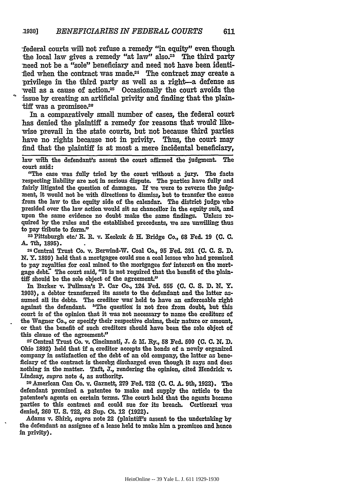federal courts will not refuse a remedy "in equity" even though the local law gives a remedy "at law" also.<sup>23</sup> The third party need not be a "sole" beneficiary and need not have been identified when the contract was made.<sup>24</sup> The contract may create a -privilege in the third party as well as a right-a defense as fied when the contract was made.<sup>24</sup> The contract may create a privilege in the third party as well as a right—a defense as well as a cause of action.<sup>25</sup> Occasionally the court avoids the issue **by** creating an artificial privity and finding that the plain-., issue by creating an artificial privity and finding that the plaintiff was a promisee.<sup>26</sup>

In a comparatively small number of cases, the federal court has denied the plaintiff a remedy for reasons that would likewise prevail in the state courts, but not because third parties have no rights because not in privity. Thus, the court may have no rights because not in privity. Thus, the court may find that the plaintiff is at most a mere incidental beneficiary,

law with the defendant's assent the court affirmed the judgment. The court said:

court said: "The case was **fully** tried by the court without a jury. The facts "The case was fully tried by the court without a jury. The facts respecting liability are not in serious dispute. The parties have fully and fairly litigated the question of damages. If we were to reverse the **judg-**fairly litigated the question of damages. If we were to reverse the judgment, it would not be with directions to dismiss, but to transfer the cause from the law to the equity side of the calendar. The district judge who from the law to the equity side of the calendar. The district judge who presided over the law action would sit as chancellor in the equity suit, and upon the same evidence no doubt make the same findings. Unless re-upon the same evidence no doubt make the same findings. Unless required **by** the rules and the established precedents, we are unwilling thus quired by the rules and the established precedents, we nre unwilling thus to pay tribute to form."

<sup>23</sup> Pittsburgh etc.' R. R. v. Keokuk **&** H. Bridge Co., **68** Fed. **19 (C. C.** <sup>23</sup> Pittsburgh etc.' R. R. v. Keokuk & H. Bridge Co., 68 Fed. 19 (C. C. **A.** 7th, **1895).** A. 7th, 1895).

24 Central Trust Co. v. Berwind-W. Coal Co., **95** Fed. **391 (C. C.** S. **D.** <sup>24</sup> Central Trust Co. v. Berwind-W. Coal Co., 95 Fed. 391 (C. C. S. D. **X.** Y. **1899)** held that a mortgagee could sue a coal lessee who had promised N. Y. 1899) held that a mortgagee could sue a coal lessee who had promised to pay royalties for coal mined to the mortgagee for interest on the mortgage debt. The court said, "It is not required that the benefit of the plaintiff should be the sole object of the agreement." tiff should be the sale object of the agreement."

In Barker v. Pullman's P. Car Co., 124 Fed. 555 (C. C. S. D. N. Y. In Barker v. Pullman's P. Car Co., 124 Fed. 555 (C. C. S. D. N. Y. 1903), a debtor transferred its assets to the defendant and the latter assumed all its debts. The creditor was held to have an enforceable right against the defendant. "The question is not free from doubt, but this court is of the opinion that it was not necessary to name the creditors of court is of the opinion that it was not necessary to name the creditors of the Wagner Co., or specify their respective claims, their nature or amount, or that the benefit of such creditors should have been the sole object of this clause of the agreement."

this clause of the agreement."<br><sup>25</sup> Central Trust Co. v. Cincinnati, J. & M. Ry., 58 Fed. 500 (C. C. N. D. Ohio 1892) held that if  $\alpha$  creditor accepts the bonds of a newly organized company in satisfaction of the debt of an old company, the latter as bene-company in satisfaction of the debt of an old company, the latter as beneficiary of the contract is thereby discharged even though it says and does nothing in the matter. Taft, J., rendering the opinion, cited Hendrick v. Lindsay, *supra* note 4, as authority. Lindsay, supra note 4, as authority.

<sup>26</sup> American Can Co. v. Garnett, 279 Fed. 722 (C. C. A. 9th, 1922). The defendant promised a patentee to make and supply the article to the defendant promised a patentee to make and supply the article to the patentee's agents on certain terms. The court held that the agents became patentee's agents on certain terms. The court held that the agents became parties to this contract and could sue for its breach. Certiorari was parties to this contract and could sue for its breach. Certiorari was denied, **260 U. S. 722,** 43 Sup. **Ct.** 12 **(1922).** denied, 260 U. S. 722, 43 Sup. Ct. 12 (1922).

Adams v. Shirk, supra note 22 (plaintiff's assent to the undertaking **by** Adams v. Shirk, supra note 22 (plaintiff's assent to the undertaking by the defendant as assignee of a lease held to make him a promisee and hence in privity). in privity).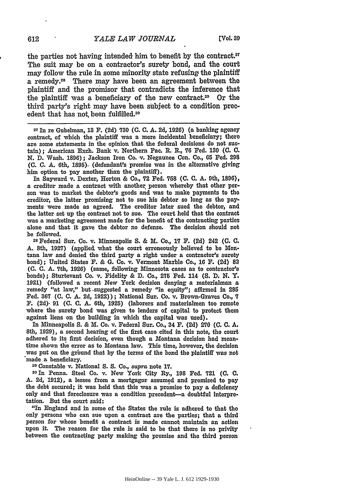the parties not having intended him to benefit by the contract.<sup>27</sup> The suit may be on a contractor's surety bond, and the court The suit may be on a contractor's surety bond, and the court may follow the rule in some minority state refusing the plaintiff a remedy.28 There may have been an agreement between the a remedy.28 There may have been an agreement between the plaintiff and the promisor that contradicts the inference that the plaintiff was a beneficiary of the new contract.<sup>20</sup> Or the third party's right may have been subject to a condition precedent that has not been fulfilled.<sup>30</sup>

271n re Gubelman, **13** F. (2d) **730 (C.** C. A. 2d, 1926) (a banking agency <sup>27</sup> In re Gubelman, 13 F. (2d) 730 (C. C. A. 2d, 1926) (a banking agenoy contract, of which the plaintiff was a mere incidental beneficiary; there are some statements in the opinion that the federal decisions do not suscontract, of which the plaintiff was a mere incidental beneficiary; there are some statements in the opinion that the federal decisions do not sustain); American Exch. Bank v. Northern Pac. R. R., 76 Fed. 130 (C. C. **N. D.** Wash. **1896);** Jackson Iron Co. v. Negaunee Con. Co., 65 **Fed. 298** N. D. Wash. 1896); Jackson Iron Co. ·v. Negaunee Con. Co., 65 Fed. 298 **(C. C. A.** 6th, **1895).** (defendant's promise was in the alternative giving (C. C. A. 6th, 1895). (defendant's promise was *in* the alternative giving him option to pay another than the plaintiff). him option to pay another than the plaintiff).

In Sayward v. Dexter, Horton & Co., 72 Fed. **758 (C. C. A.** 9th, **1896),** In Sayward v. Dexter, Horton & Co., 72 Fed. 758 (C. C. A. 9th, 1896), a creditor made a contract with another person whereby that other person was to market the debtor's goods and was to make payments to the son was to market the debtor's goods and was to make payments to tho<br>creditor, the latter promising not to sue his debtor so long as tho payments were made as agreed. The creditor later sued the debtor, and the latter set up the contract not to sue. The court held that the contract ments were made as agreed. The creditor later sued the debtor, andthe latter set up the contract not to sue. The court held that the contraot was a marketing agreement made for the benefit of the contracting parties alone and that it gave the debtor no defense. The decision should not alone and that it gave the debtor no defense. The decision should not be followed. be followed.

<sup>28</sup> Federal Sur. Co. v. Minneapolis S. & M. Co., 17 F. (2d) 242 **(C. C. A.** 8th, **1927)** (applied what the court erroneously believed to be Mon-A. 8th, 1927) (applied. what the court erroneously believed to be Montana law and denied the third party a right under a contractor's surety tana law and denied the third party a right under a contractor's surety bond); United States F. **& G.** Co. v. Vermont Marble Co., **16 F. (2d) 83** bond); United States F. & G. Co. v. Vermont Marble Co., 16 F. (2d) 83 **(C. C. A.** 7th, **1926)** (same, following Minnesota cases as to contractor's (C. C. A. 7th, 1926) (same, following Minnesota cases as to contractor's bonds); Sturtevant Co. v. Fidelity & **D.** Co., **275** Fed. 114 **(S.** *D.* **N.** Y. bonds); Sturtevant Co. v. Fidelity & D. Co., 275 Fed. 114 (S. D. N. **1921)** (followed a recent New York decision denying a materialman a remedy "at law," but-suggested a remedy "in equity"; affirmed in **285** 1921) (followed a recent New York decision denying a materialman a remedy "at law," but suggested a remedy "in equity"; affirmed in 285<br>Fed. 367 (C. C. A. 2d, 1922)); National Sur. Co. v. Brown-Graves Co., 7 F. **(2d).** 91 **(C. C. A.** 6th, **1925)** (laborers and materialmen too remote F. (2d)· 91 (C. C. A. 6th, 1925) (laborers and materialmen too remote where the surety bond was given to lenders of capital to protect **them** where the surety bond was given to lenders of capital to protect them against liens on the building in which the capital was used). against liens on the building in which the capital was used).

In Minneapolis **S.** & M. Co. v. Federal Sur. Co., 34 F. **(2d) 270 (C. C. A.** In :Minneapolis S. & M. Co. v. Federal Sur. Co., 34 F. (2d) 270 (0. O. A. 8th, **1929),** a second hearing of the first case cited in this note, the court 8th, 1929), a second hearing of the first case cited in this note, the court adhered to its first decision, even though a Montana decision had meantime shown tle error as to Montana law. This time, however, the decision time shown the error as to Montana law. This time, however, the decision was put on the ground that by the terms of the bond the plaintiff was not made a beneficiary. made a beneficiary. 29 Constable v. National **S. S.** Co., supra note **17.** <sup>29</sup> Constable v. National S. S. Co., supra note 17.

**30 In** Penna. Steel Co. v. New York City Ry., **198** Fed. 721 **(C. C.** <sup>30</sup> In Penna. Steel Co. v. New York City Ry., 198 Fed. 721 (0. O. A. 2d, 1912), a lessee from a mortgagor assumed and promised to pay<br>the debt secured; it was held that this was a promise to pay a deficiency the debt secured; it was held that this was a promise to pay a deficiency only and that foreclosure was a condition precedent-a doubtful interpretation. But the court said: tation. But the court said:

"In England and in some of the States the rule is adhered to that the only persons who can sue upon a contract are the parties; that a third only persons who can sue upon a contract are the parties; that a third person for whose benefit a contract is made cannot maintain an action person for whose benefit a contract is made cannot maintain an action upon it. The reason for the rule is said to be that there is no privity upon it. The reason for the rule is said to be that there is no privity between the contracting party making the promise and the third person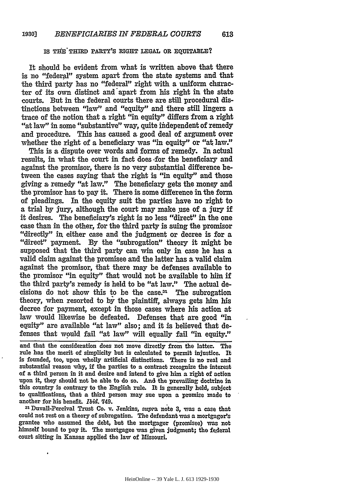#### IS **THE'THIRD PARTY'S** RIGHT **LEGAL OR** EQUITABLE? IS TIiE"THIRD FARTY'S RIGHT LEGAL OR EQUlTABLE'l

It should be evident from what is written above that there is no "federal" system apart from the state systems and that the third party has no "federal" right with a uniform character of its own distinct and apart from his right in the state courts. But in the federal courts there are still procedural distinctions between "law" and "equity" and there still lingers a tinctions between "law" and "equity" and there still lingers a trace of the notion that a right "in equity" differs from a right "at law" in some "substantive" way, quite independent of remedy and procedure. This has caused a good deal of argument over and procedure. This has caused a good deal of argument over

whether the right of a beneficiary was "in equity" or "at law."<br>This is a dispute over words and forms of remedy. In actual This is a dispute over words and forms of remedy. In actual results, in what the court in fact does -for the beneficiary and results, in what the court in fact does "for the beneficiary and against the promisor, there is no very substantial difference be-against the promisor, there is no very substantial difference between the cases saying that the right is "in equity" and those tween the eases saying that the right is "in equity" and those giving a remedy "at law." The beneficiary gets the money and the promisor has to pay it. There is some difference in the form of pleadings. In the equity suit the parties have no right to the promisor has to pay it. There is some difference in the form<br>of pleadings. In the equity suit the parties have no right to<br>a trial by jury, although the court may make use of a jury if it desires. The beneficiary's right is no less "direct" in the one case than in the other, for the third party is suing the promisor case than in the other, for the third party is suing the promisor "directly" in either case and the judgment or decree is for a "directly" in. either case and the judgment or decree is for a "direct" payment. By the "subrogation" theory it might be supposed that the third party can win only in case he has a valid claim against the promisee and the latter has a valid claim valid claim against the promisee and the latter has a valid claim against the promisor, that there may be defenses available to against the promisor, that there may be defenses available to the promisor "in equity" that would not be available to **hin** if the promisor "in equity" that would not be available to him if the third party's remedy is held to be "at law." The actual decisions do not show this to be the case.31 The subrogation cisions do not show this to be the case.31 The subrogation theory, when resorted to by the plaintiff, always gets him his decree for payment, except in those cases where his action at decree for payment, except in those cases where his action at law would likewise be defeated. Defenses that are good "in law would likewise be defeated. Defenses that are good "in equity" are available "at law" also; and it is believed that de-equity" are available "at law" also; and it is believed that defenses that would fail "at law" will equally fail "in equity."

and that the consideration does not move directly from the latter. The and that the consideration does not move directly from the latter. The rule has the merit of simplicity but is calculated to permit injustice. It is founded, too, upon wholly artificial distinctions. There is no real and is founded, *too,* upon wholly artificial distinctions. There is no real and substantial reason why, if the parties to a contract recognize the interest substantial reason why, if the parties to <sup>a</sup> contract recognize the interest of a third person in it and desire and intend to give him a right of action of a third person in it and desire and intend to give him a right of action upon it, they should not be able to do so. And the prevailing doctrine in upon it, they should not be able to do so. And the prevailing doctrine in this country is contrary to the English rule. It is generally held, subject this conntry is contrary to the English rule. It is generally held, subject to qualifications, thab a third person may sue upon a promise made to to qualifications, that a third person may sue upon a promise mnde to another for his benefit. *Ibid. 749.* another for his benefit. *Ibid. '149.*

**3" Duvall-Percival Trust Co.** v. Tenkins, supra note **3,** was a case that <sup>31</sup> Duvall-Percival Trust Co. v. Jenkins, *supra* note 3, was n case that could not rest on a theory of subrogation. The defendant **Vas** a mortgagor's could not rest on a theory ofsubrogation. The defendantwas a mortgagor's grantee -who assumed the debt, but the mortgagor (promisee) was not grantee who assumed the debt, but the mortgagor (promisee) was not himself bound to pay it. The mortgagee was given judgment; the federal court sitting in Kansas applied the law of Missouri.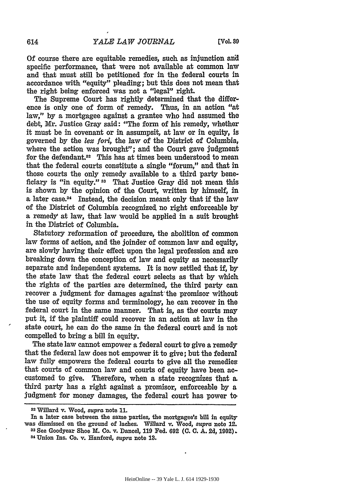**Of** course there are equitable remedies, such as injunction and Of course there are equitable remedies, such as injunction ana specific performance, that were not available at common law specific performance, that were not available at common and that must still be petitioned for in the federal courts in and that must still be petitioned for in the federal courts in accordance with "equity" pleading; but this does not mean that accordance with "equity" pleading; but this does not mean that the right being enforced was not a "legal" right.

The Supreme Court has rightly determined that the difference is only one of form of remedy. Thus, in an action "at law," **by** a mortgagee against a grantee who had assumed the law," by a mortgagee against a grantee who had assumed the debt, Mr. Justice Gray said: "The form of his remedy, whether debt, Mr. Justice Gray said: "The form of his remedy, whether it must be in covenant or in assumpsit, at law or in equity, is it must be in covenant or in assumpsit, at law or in equity, is governed **by** the *lex fori,* the law of the District of Columbia, governed by the *lea: fori,* the law of the District of Columbia, where the action was brought"; and the Court gave judgment where the action was brought"; and the Court gave judgment for the defendant.<sup>32</sup> This has at times been understood to mean that the federal courts constitute a single "forum," and that in for the defendant.<sup>32</sup> This has at times been understood to mean that the federal courts constitute a single "forum," and that in those courts the only remedy available to a third party beneficiary is "in **equity." 33** That Justice Gray did not mean this ficiary is "in equity." <sup>33</sup> That Justice Gray did not mean this is shown **by** the opinion of the Court, written **by** himself, in is shown by the opinion of the Court, written by himself, in<br>a later case.<sup>34</sup> Instead, the decision meant only that if the law of the District of Columbia recognized no right enforceable **by** of the District of Columbia recognized no right enforceable by a remedy at law, that law would be applied in a suit brought in the District of Columbia. in the District of Columbia.

Statutory reformation of procedure, the abolition of common Statutory reformation of procedure, the abolition of common law forms of action, and the joinder of common law and equity, law forms of action, and the joinder of common law and equity, are slowly having their effect upon the legal profession and are are slowly having their effect upon the legal profession and are breaking down the conception of law and equity as necessarily separate and independent systems. It is now settled that **if, by** separate and independent systems. It is now settled that if, by the state law that the federal court selects as that **by** which the state law that the federal court selects as that by which the rights of the parties are determined, the third party can recover a judgment for damages against the promisor without the use of equity forms and terminology, he can recover in the the use of equity forms and terminology, he can recover in the federal court in the same manner. That is, as the courts may federal court in the same manner. That is, as the courts may put it, if the plaintiff could recover in an action at law in the state court, he can do the same in the federal court and is not state court, he can do the same in the federal court and is not compelled to bring a **bill** in equity. compelled to bring a bill in equity.

The state law cannot empower a federal court to give a remedy that the federal law does not empower it to give; but the federal that the federal law does not empower it to give; but the federal law fully empowers the federal courts to give all the remedies that courts of common law and courts of equity have been ac-that courts of common law and courts of equity have been accustomed to give. Therefore, when a state recognizes that a.<br>third party has a right against a promisor, enforceable by a third party has a right against a promisor, enforceable **by** a judgment for money damages, the federal court has power to judgment for money damages, the federal court has power to'

<sup>82</sup> Willard v. Wood, *supra* note **11.** Sll Willard v. Wood, *supra.* note 11.

In a later case between the same parties, the mortgagee's bill in equity In a later case between the same parties, the mortgagee's bill in equity was dismissed on the ground of laches. Willard v. Wood, *supra* note **12.** was dismissed on the ground of laches. Willard v. Wood, *supra.* note 12. <sup>33</sup> See Goodyear Shoe M. Co. v. Dancel, 119 Fed. 692 (C. C. A. 2d, 1902).<br><sup>34</sup> Union Ins. Co. v. Hanford, *supra* note 13.

Sll Union Ins. Co. v. Hanford, *supra.* note 13.